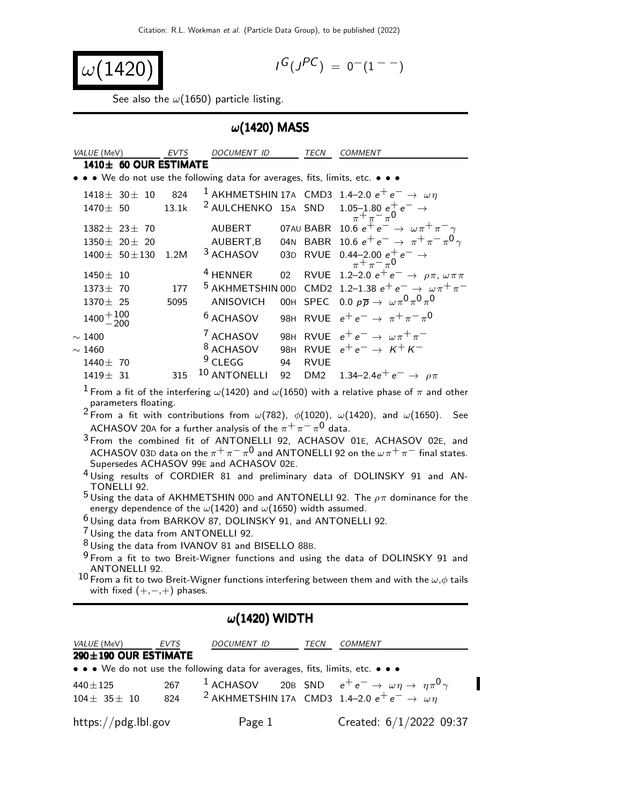$$
\omega(1420)
$$

$$
I^G(J^{PC}) = 0^-(1^{--})
$$

See also the  $\omega(1650)$  particle listing.

### $\omega$ (1420) MASS

| VALUE (MeV)              |                            | <b>EVTS</b> | DOCUMENT ID                                                                   |     | TECN            | <b>COMMENT</b>                                                                   |
|--------------------------|----------------------------|-------------|-------------------------------------------------------------------------------|-----|-----------------|----------------------------------------------------------------------------------|
|                          | $1410 \pm 60$ OUR ESTIMATE |             |                                                                               |     |                 |                                                                                  |
|                          |                            |             | • • • We do not use the following data for averages, fits, limits, etc. • • • |     |                 |                                                                                  |
|                          | $1418 \pm 30 \pm 10$       | 824         |                                                                               |     |                 | <sup>1</sup> AKHMETSHIN 17A CMD3 1.4–2.0 $e^+e^- \rightarrow \omega \eta$        |
| $1470 \pm 50$            |                            | 13.1k       |                                                                               |     |                 | <sup>2</sup> AULCHENKO 15A SND $1.05-1.80 e^+ e^- \rightarrow \pi^+ \pi^- \pi^0$ |
|                          | $1382 \pm 23 \pm 70$       |             | <b>AUBERT</b>                                                                 |     |                 | 07AU BABR 10.6 $e^+e^- \rightarrow \omega \pi^+ \pi^- \gamma$                    |
|                          | $1350 \pm 20 \pm 20$       |             | AUBERT, B                                                                     |     |                 | 04N BABR 10.6 $e^+e^- \rightarrow \pi^+\pi^-\pi^0\gamma$                         |
|                          | $1400 \pm 50 \pm 130$      | 1.2M        | <sup>3</sup> ACHASOV                                                          |     | 03D RVUE        | $0.44 - 2.00 e^+ e^- \rightarrow$<br>$\pi^+ \pi^- \pi^0$                         |
| $1450 \pm 10$            |                            |             | <sup>4</sup> HENNER                                                           | 02  |                 | RVUE 1.2-2.0 $e^+e^- \rightarrow \rho \pi, \omega \pi \pi$                       |
| $1373 \pm 70$            |                            | 177         | <sup>5</sup> AKHMETSHIN 00D                                                   |     |                 | CMD2 1.2-1.38 $e^+e^- \rightarrow \omega \pi^+ \pi^-$                            |
| $1370 \pm 25$            |                            | 5095        | <b>ANISOVICH</b>                                                              |     |                 | OOH SPEC 0.0 $p\overline{p} \rightarrow \omega \pi^0 \pi^0 \pi^0$                |
| $1400 + \frac{100}{200}$ |                            |             | <sup>6</sup> ACHASOV                                                          |     |                 | 98H RVUE $e^+e^- \rightarrow \pi^+\pi^-\pi^0$                                    |
| $\sim$ 1400              |                            |             | <sup>7</sup> ACHASOV                                                          |     |                 | 98H RVUE $e^+e^- \rightarrow \omega \pi^+ \pi^-$                                 |
| $\sim$ 1460              |                            |             | <sup>8</sup> ACHASOV                                                          | 98H |                 | RVUE $e^+e^- \rightarrow K^+K^-$                                                 |
| $1440 \pm 70$            |                            |             | $9$ CLEGG                                                                     | 94  | <b>RVUE</b>     |                                                                                  |
| $1419 \pm 31$            |                            | 315         | 10 ANTONELLI                                                                  | 92  | DM <sub>2</sub> | 1.34–2.4 $e^+e^- \rightarrow \rho \pi$                                           |
|                          |                            |             |                                                                               |     |                 |                                                                                  |

<sup>1</sup> From a fit of the interfering  $\omega(1420)$  and  $\omega(1650)$  with a relative phase of  $\pi$  and other parameters floating.

<sup>2</sup> From a fit with contributions from  $\omega(782)$ ,  $\phi(1020)$ ,  $\omega(1420)$ , and  $\omega(1650)$ . See ACHASOV 20A for a further analysis of the  $\pi^{+} \pi^{-} \pi^{0}$  data.

3 From the combined fit of ANTONELLI 92, ACHASOV 01E, ACHASOV 02E, and ACHASOV 03D data on the  $\pi^+ \pi^- \pi^0$  and ANTONELLI 92 on the  $\omega \pi^+ \pi^-$  final states. Supersedes ACHASOV 99E and ACHASOV 02E.

4 Using results of CORDIER 81 and preliminary data of DOLINSKY 91 and AN-TONELLI 92.

 $5$  Using the data of AKHMETSHIN 00D and ANTONELLI 92. The  $\rho \pi$  dominance for the energy dependence of the  $\omega(1420)$  and  $\omega(1650)$  width assumed.

6 Using data from BARKOV 87, DOLINSKY 91, and ANTONELLI 92.

7 Using the data from ANTONELLI 92.

8 Using the data from IVANOV 81 and BISELLO 88B.

 $9$  From a fit to two Breit-Wigner functions and using the data of DOLINSKY 91 and <code>10</code> ANTONELLI 92.  $^{10}$  From a fit to two Breit-Wigner functions interfering between them and with the  $\omega,\phi$  tails

with fixed  $(+,-,+)$  phases.

#### $\omega$ (1420) WIDTH

| <i>VALUE</i> (MeV)                                                                                                    | EVTS | DOCUMENT ID | TECN | <b>COMMENT</b>                                                                                                                                                           |  |  |  |  |  |
|-----------------------------------------------------------------------------------------------------------------------|------|-------------|------|--------------------------------------------------------------------------------------------------------------------------------------------------------------------------|--|--|--|--|--|
| 290±190 OUR ESTIMATE                                                                                                  |      |             |      |                                                                                                                                                                          |  |  |  |  |  |
| $\bullet \bullet \bullet$ We do not use the following data for averages, fits, limits, etc. $\bullet \bullet \bullet$ |      |             |      |                                                                                                                                                                          |  |  |  |  |  |
| $440 \pm 125$                                                                                                         | 267  |             |      | <sup>1</sup> ACHASOV 20B SND $e^+e^- \rightarrow \omega \eta \rightarrow \eta \pi^0 \gamma$<br><sup>2</sup> AKHMETSHIN 17A CMD3 1.4–2.0 $e^+e^- \rightarrow \omega \eta$ |  |  |  |  |  |
| $104\pm 35\pm 10$                                                                                                     | 824  |             |      |                                                                                                                                                                          |  |  |  |  |  |
| https://pdg.lbl.gov                                                                                                   |      | Page 1      |      | Created: 6/1/2022 09:37                                                                                                                                                  |  |  |  |  |  |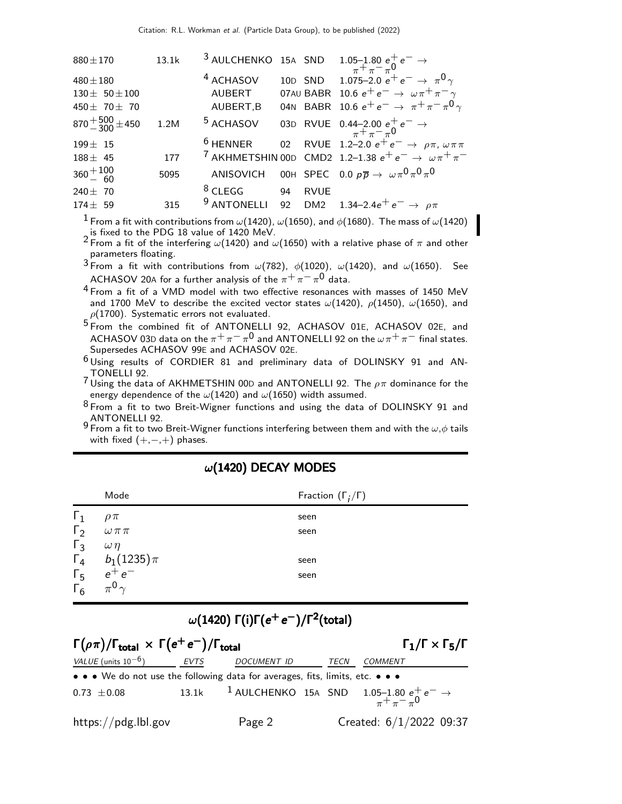| 13.1k |                        |             |                                                                                                                                                            |
|-------|------------------------|-------------|------------------------------------------------------------------------------------------------------------------------------------------------------------|
|       | <sup>4</sup> ACHASOV   |             | 10D SND 1.075-2.0 $e^+e^- \rightarrow \pi^0 \gamma$                                                                                                        |
|       | AUBERT                 |             | 07AU BABR 10.6 $e^+e^- \rightarrow \omega \pi^+ \pi^- \gamma$                                                                                              |
|       | AUBERT, B              |             | 04N BABR 10.6 $e^+e^- \rightarrow \pi^+\pi^-\pi^0\gamma$                                                                                                   |
| 1.2M  | <sup>5</sup> ACHASOV   |             | 03D RVUE 0.44-2.00 $e^+e^- \rightarrow \pi^+ \pi^- \pi^0$                                                                                                  |
|       | $6$ HENNER             |             | 02 RVUE 1.2-2.0 $e^+e^- \to \rho \pi, \omega \pi \pi$                                                                                                      |
| 177   |                        |             |                                                                                                                                                            |
| 5095  | ANISOVICH              |             | OOH SPEC 0.0 $p\overline{p} \rightarrow \ \omega \pi^0 \pi^0 \pi^0$                                                                                        |
|       | $8$ CLEGG              | <b>RVUE</b> |                                                                                                                                                            |
| 315   | <sup>9</sup> ANTONELLI |             | 92 DM2 1.34–2.4 $e^+e^- \rightarrow \rho \pi$                                                                                                              |
|       |                        | 94          | 3 AULCHENKO 15A SND $1.05-1.80 e^+ e^- \rightarrow \pi^+ \pi^- \pi^0$<br><sup>7</sup> AKHMETSHIN 00D CMD2 1.2-1.38 $e^+e^- \rightarrow \omega \pi^+ \pi^-$ |

<sup>1</sup> From a fit with contributions from  $\omega(1420)$ ,  $\omega(1650)$ , and  $\phi(1680)$ . The mass of  $\omega(1420)$ is fixed to the PDG 18 value of 1420 MeV.

<sup>2</sup> From a fit of the interfering  $\omega(1420)$  and  $\omega(1650)$  with a relative phase of  $\pi$  and other parameters floating.

3 From a fit with contributions from  $\omega(782)$ ,  $\phi(1020)$ ,  $\omega(1420)$ , and  $\omega(1650)$ . See ACHASOV 20A for a further analysis of the  $\pi^{+} \pi^{-} \pi^{0}$  data.

4 From a fit of a VMD model with two effective resonances with masses of 1450 MeV and 1700 MeV to describe the excited vector states  $\omega(1420)$ ,  $\rho(1450)$ ,  $\omega(1650)$ , and  $\rho(1700)$ . Systematic errors not evaluated.

5 From the combined fit of ANTONELLI 92, ACHASOV 01E, ACHASOV 02E, and ACHASOV 03D data on the  $\pi^+ \pi^- \pi^0$  and ANTONELLI 92 on the  $\omega \pi^+ \pi^-$  final states. Supersedes ACHASOV 99E and ACHASOV 02E.

6 Using results of CORDIER 81 and preliminary data of DOLINSKY 91 and AN-TONELLI 92.

 $7$  Using the data of AKHMETSHIN 00D and ANTONELLI 92. The  $\rho\pi$  dominance for the energy dependence of the  $\omega(1420)$  and  $\omega(1650)$  width assumed.

 $8$  From a fit to two Breit-Wigner functions and using the data of DOLINSKY 91 and ANTONELLI 92.

9 From a fit to two Breit-Wigner functions interfering between them and with the  $ω, φ$  tails with fixed  $(+,-,+)$  phases.

|            | Mode                      | Fraction $(\Gamma_i/\Gamma)$ |
|------------|---------------------------|------------------------------|
| $\Gamma_1$ | $\rho \pi$                | seen                         |
| $\Gamma_2$ | $\omega\,\pi\,\pi$        | seen                         |
| $\Gamma_3$ | $\omega \eta$             |                              |
|            | $\Gamma_4$ $b_1(1235)\pi$ | seen                         |
| $\Gamma_5$ | $e^+e^-$                  | seen                         |
| $\Gamma_6$ | $\pi^{0}$                 |                              |

### $\omega$ (1420) DECAY MODES

## $\omega(1420)$  Γ(i)Γ( $e^+e^-$ )/Γ $^2$ (total)

| $\Gamma(\rho \pi)/\Gamma_{\text{total}} \times \Gamma(e^+e^-)/\Gamma_{\text{total}}$ | $\Gamma_1/\Gamma \times \Gamma_5/\Gamma$ |                    |      |                                                                                            |
|--------------------------------------------------------------------------------------|------------------------------------------|--------------------|------|--------------------------------------------------------------------------------------------|
| <i>VALUE</i> (units $10^{-6}$ )                                                      | EVTS                                     | <i>DOCUMENT ID</i> | TECN | <b>COMMENT</b>                                                                             |
| • • • We do not use the following data for averages, fits, limits, etc. • • •        |                                          |                    |      |                                                                                            |
| $0.73 \pm 0.08$                                                                      |                                          |                    |      | 13.1k <sup>1</sup> AULCHENKO 15A SND 1.05-1.80 $e^+e^- \rightarrow$<br>$\pi^+ \pi^- \pi^0$ |
| https://pdg.lbl.gov                                                                  |                                          | Page 2             |      | Created: $6/1/2022$ 09:37                                                                  |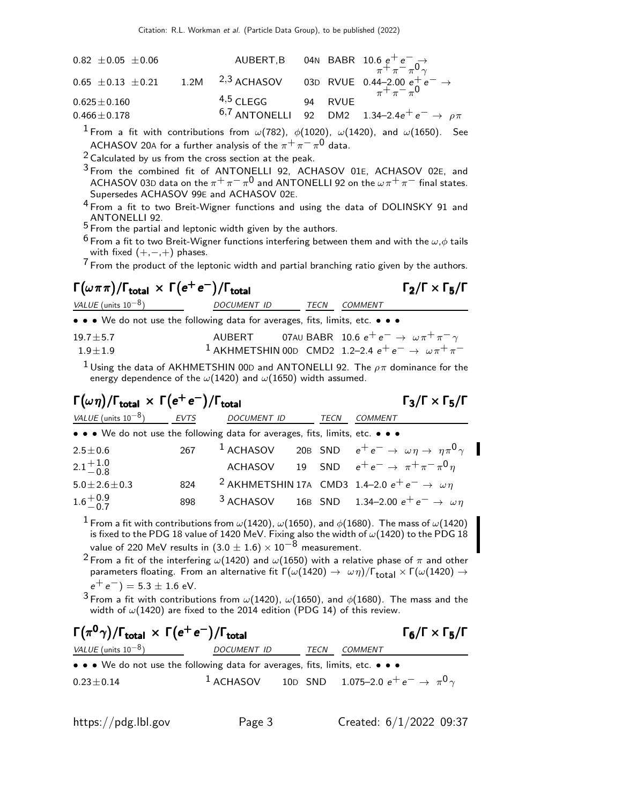| $0.82 \pm 0.05 \pm 0.06$                                                                                      |             |         | AUBERT,B 04N BABR 10.6 $e^+e^- \rightarrow \pi^+ \pi^- \pi^0 \gamma$ |
|---------------------------------------------------------------------------------------------------------------|-------------|---------|----------------------------------------------------------------------|
| 0.65 ± 0.13 ± 0.21 1.2M <sup>2,3</sup> ACHASOV 03D RVUE 0.44-2.00 $e^+e^- \rightarrow$<br>$\pi^+ \pi^- \pi^0$ |             |         |                                                                      |
| $0.625 \pm 0.160$                                                                                             | $4,5$ CLEGG | 94 RVUE |                                                                      |
| $0.466 \pm 0.178$                                                                                             |             |         | 6,7 ANTONELLI 92 DM2 1.34-2.4 $e^+e^- \rightarrow \rho \pi$          |

<sup>1</sup> From a fit with contributions from  $\omega(782)$ ,  $\phi(1020)$ ,  $\omega(1420)$ , and  $\omega(1650)$ . See ACHASOV 20A for a further analysis of the  $\pi^{+} \pi^{-} \pi^{0}$  data.

2 Calculated by us from the cross section at the peak.

- $3$  From the combined fit of ANTONELLI 92, ACHASOV 01E, ACHASOV 02E, and ACHASOV 03D data on the  $\pi^+ \pi^- \pi^0$  and ANTONELLI 92 on the  $\omega \pi^+ \pi^-$  final states. Supersedes ACHASOV 99E and ACHASOV 02E.
- <sup>4</sup> From a fit to two Breit-Wigner functions and using the data of DOLINSKY 91 and ANTONELLI 92.
- $5$  From the partial and leptonic width given by the authors.
- <sup>6</sup> From a fit to two Breit-Wigner functions interfering between them and with the  $\omega.\phi$  tails with fixed  $(+,-,+)$  phases.

 $7$  From the product of the leptonic width and partial branching ratio given by the authors.

## $\Gamma(\omega \pi \pi)/\Gamma_{\text{total}} \times \Gamma(e^+e^-)/\Gamma_{\text{total}}$  Γ<sub>2</sub>/Γ  $\times$  Γ<sub>5</sub>/Γ VALUE (units  $10^{-8}$ ) DOCUMENT ID TECN COMMENT

| • • • We do not use the following data for averages, fits, limits, etc. • • • |  |                                                                                  |
|-------------------------------------------------------------------------------|--|----------------------------------------------------------------------------------|
| $19.7 + 5.7$                                                                  |  | AUBERT 07AU BABR 10.6 $e^+e^- \rightarrow \omega \pi^+ \pi^- \gamma$             |
| $1.9 + 1.9$                                                                   |  | <sup>1</sup> AKHMETSHIN 00D CMD2 1.2-2.4 $e^+e^- \rightarrow \omega \pi^+ \pi^-$ |

 $^1$ Using the data of AKHMETSHIN 00D and ANTONELLI 92. The  $\rho\pi$  dominance for the energy dependence of the  $\omega(1420)$  and  $\omega(1650)$  width assumed.

# $\Gamma(\omega \eta)/\Gamma_{\text{total}} \times \Gamma(e^+e^-)/\Gamma_{\text{total}}$  Γ<sub>3</sub>/Γ × Γ<sub>5</sub>/Γ

| VALUE (units $10^{-8}$ )                                                      | <b>EVTS</b> | <i>DOCUMENT ID</i> | TECN | COMMENT                                                                                         |  |
|-------------------------------------------------------------------------------|-------------|--------------------|------|-------------------------------------------------------------------------------------------------|--|
| • • • We do not use the following data for averages, fits, limits, etc. • • • |             |                    |      |                                                                                                 |  |
| $2.5 \pm 0.6$                                                                 |             |                    |      | 267 <sup>1</sup> ACHASOV 20B SND $e^+e^- \rightarrow \omega \eta \rightarrow \eta \pi^0 \gamma$ |  |
| $2.1_{-0.8}^{+1.0}$                                                           |             |                    |      | ACHASOV 19 SND $e^+e^- \rightarrow \pi^+\pi^-\pi^0\eta$                                         |  |
| $5.0 \pm 2.6 \pm 0.3$                                                         | 824         |                    |      | <sup>2</sup> AKHMETSHIN 17A CMD3 1.4–2.0 $e^+e^- \rightarrow \omega \eta$                       |  |
| $1.6^{+0.9}_{-0.7}$                                                           | 898         |                    |      | <sup>3</sup> ACHASOV 16B SND 1.34-2.00 $e^+e^- \rightarrow \omega \eta$                         |  |

<sup>1</sup> From a fit with contributions from  $\omega(1420)$ ,  $\omega(1650)$ , and  $\phi(1680)$ . The mass of  $\omega(1420)$ is fixed to the PDG 18 value of 1420 MeV. Fixing also the width of  $\omega(1420)$  to the PDG 18 value of 220 MeV results in  $(3.0 \pm 1.6) \times 10^{-8}$  measurement.

<sup>2</sup> From a fit of the interfering  $\omega(1420)$  and  $\omega(1650)$  with a relative phase of  $\pi$  and other parameters floating. From an alternative fit  $\Gamma(\omega(1420) \to \omega \eta)/\Gamma_{\text{total}} \times \Gamma(\omega(1420) \to \omega \eta)$  $e^+e^-$ ) = 5.3  $\pm$  1.6 eV.

 $3$  From a fit with contributions from  $\omega(1420)$ ,  $\omega(1650)$ , and  $\phi(1680)$ . The mass and the width of  $\omega(1420)$  are fixed to the 2014 edition (PDG 14) of this review.

## $\Gamma(\pi^0 \gamma)/\Gamma_{\rm total} \, \times \, \Gamma(e^+ \, e^-)/\Gamma_{\rm total}$  Γ<sub>6</sub>/Γ  $\times$  Γ<sub>5</sub>/Γ  $\Gamma_6/\Gamma \times \Gamma_5/\Gamma$ VALUE (units  $10^{-8}$ ) DOCUMENT ID TECN COMMENT • • • We do not use the following data for averages, fits, limits, etc. • • •  $0.23\pm0.14$   $1$  ACHASOV  $10$ DSND  $1.075$ –2.0  $e^+$   $e^ \rightarrow$   $\pi^0$   $\gamma$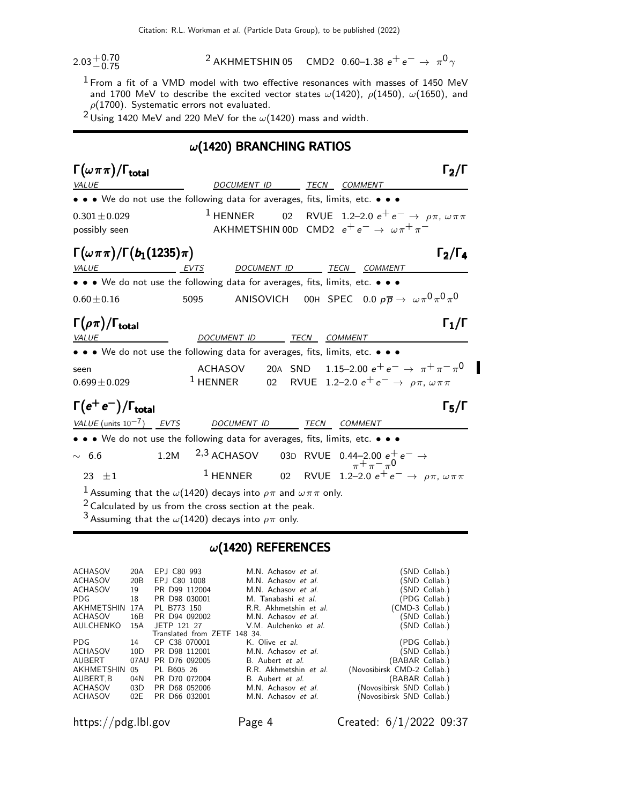$2.03 + 0.70$ <br>-0.75

 $^{\text{2}}$  AKHMETSHIN 05 CMD2 0.60–1.38  $e^+ \, e^- \rightarrow~ \pi^{\text{0}} \, \gamma$ 

 $1$  From a fit of a VMD model with two effective resonances with masses of 1450 MeV and 1700 MeV to describe the excited vector states  $\omega(1420)$ ,  $\rho(1450)$ ,  $\omega(1650)$ , and  $\rho(1700)$ . Systematic errors not evaluated.

 $2 \text{ Using } 1420 \text{ MeV}$  and 220 MeV for the  $\omega(1420)$  mass and width.

## $\omega$ (1420) BRANCHING RATIOS

| $\Gamma(\omega \pi \pi)/\Gamma_{\rm total}$                                                                           |                                                                                                                                                                                                                                       |                                                                                                                                                  |                     |                |                                                                     | $\Gamma_2/\Gamma$                                      |
|-----------------------------------------------------------------------------------------------------------------------|---------------------------------------------------------------------------------------------------------------------------------------------------------------------------------------------------------------------------------------|--------------------------------------------------------------------------------------------------------------------------------------------------|---------------------|----------------|---------------------------------------------------------------------|--------------------------------------------------------|
| VALUE                                                                                                                 |                                                                                                                                                                                                                                       | DOCUMENT ID                                                                                                                                      |                     | TECN COMMENT   |                                                                     |                                                        |
| $\bullet \bullet \bullet$ We do not use the following data for averages, fits, limits, etc. $\bullet \bullet \bullet$ |                                                                                                                                                                                                                                       |                                                                                                                                                  |                     |                |                                                                     |                                                        |
| $0.301 \pm 0.029$<br>possibly seen                                                                                    |                                                                                                                                                                                                                                       | <sup>1</sup> HENNER 02 RVUE 1.2–2.0 $e^+e^- \rightarrow \rho \pi, \omega \pi \pi$<br>AKHMETSHIN 00D CMD2 $e^+e^- \rightarrow \omega \pi^+ \pi^-$ |                     |                |                                                                     |                                                        |
| $\Gamma(\omega \pi \pi)/\Gamma(b_1(1235)\pi)$<br>VALUE                                                                | <b>EVTS</b>                                                                                                                                                                                                                           |                                                                                                                                                  | DOC <u>UMENT ID</u> |                | TECN COMMENT                                                        | $\Gamma_2/\Gamma_4$                                    |
| • • • We do not use the following data for averages, fits, limits, etc. • • •                                         |                                                                                                                                                                                                                                       |                                                                                                                                                  |                     |                |                                                                     |                                                        |
| $0.60 \pm 0.16$                                                                                                       | 5095                                                                                                                                                                                                                                  | ANISOVICH                                                                                                                                        |                     |                | OOH SPEC 0.0 $p\overline{p} \rightarrow \ \omega \pi^0 \pi^0 \pi^0$ |                                                        |
| $\Gamma(\rho\pi)/\Gamma_{\rm total}$<br><b>VALUE</b>                                                                  |                                                                                                                                                                                                                                       | DOCUMENT ID                                                                                                                                      | TECN                | <b>COMMENT</b> |                                                                     | $\Gamma_1/\Gamma$                                      |
| • • • We do not use the following data for averages, fits, limits, etc. • • •                                         |                                                                                                                                                                                                                                       |                                                                                                                                                  |                     |                |                                                                     |                                                        |
| seen<br>$0.699 \pm 0.029$                                                                                             |                                                                                                                                                                                                                                       | <b>ACHASOV</b><br><sup>1</sup> HENNER 02 RVUE 1.2-2.0 $e^+e^- \rightarrow \rho \pi, \omega \pi \pi$                                              |                     |                |                                                                     | 20A SND 1.15-2.00 $e^+e^- \rightarrow \pi^+\pi^-\pi^0$ |
| $\Gamma(e^+e^-)/\Gamma_{\text{total}}$                                                                                |                                                                                                                                                                                                                                       |                                                                                                                                                  |                     |                |                                                                     | $\Gamma_5/\Gamma$                                      |
| VALUE (units $10^{-7}$ ) EVTS                                                                                         |                                                                                                                                                                                                                                       | <b>DOCUMENT ID</b>                                                                                                                               | TECN                | <b>COMMENT</b> |                                                                     |                                                        |
| • • • We do not use the following data for averages, fits, limits, etc. • • •                                         |                                                                                                                                                                                                                                       |                                                                                                                                                  |                     |                |                                                                     |                                                        |
| $\sim 6.6$                                                                                                            | 1.2M                                                                                                                                                                                                                                  | 2,3 ACHASOV                                                                                                                                      |                     |                | 03D RVUE 0.44-2.00 $e^+e^- \rightarrow \pi^+ \pi^- \pi^0$           |                                                        |
| $23 + 1$                                                                                                              |                                                                                                                                                                                                                                       | <sup>1</sup> HENNER 02 RVUE 1.2-2.0 $e^+e^- \rightarrow \rho \pi, \omega \pi \pi$                                                                |                     |                |                                                                     |                                                        |
|                                                                                                                       | <sup>1</sup> Assuming that the $\omega(1420)$ decays into $\rho\pi$ and $\omega\pi\pi$ only.<br>$2$ Calculated by us from the cross section at the peak.<br><sup>3</sup> Assuming that the $\omega(1420)$ decays into $\rho\pi$ only. |                                                                                                                                                  |                     |                |                                                                     |                                                        |

## $\omega$ (1420) REFERENCES

| <b>ACHASOV</b> | 20A | EPJ C80 993                  | M.N. Achasov et al.    | (SND Collab.)               |
|----------------|-----|------------------------------|------------------------|-----------------------------|
| ACHASOV        | 20B | EPJ C80 1008                 | M.N. Achasov et al.    | (SND Collab.)               |
| <b>ACHASOV</b> | 19  | PR D99 112004                | M.N. Achasov et al.    | (SND Collab.)               |
| PDG.           | 18  | PR D98 030001                | M. Tanabashi et al.    | (PDG Collab.)               |
| AKHMETSHIN     | 17A | PL B773 150                  | R.R. Akhmetshin et al. | (CMD-3 Collab.)             |
| ACHASOV        | 16B | PR D94 092002                | M.N. Achasov et al.    | (SND Collab.)               |
| AULCHENKO      | 15A | JETP 121 27                  | V.M. Aulchenko et al.  | (SND Collab.)               |
|                |     | Translated from ZETF 148 34. |                        |                             |
| PDG.           | 14  | CP C38 070001                | K. Olive et al.        | (PDG Collab.)               |
| ACHASOV        | 10D | PR D98 112001                | M.N. Achasov et al.    | (SND Collab.)               |
| AUBERT         |     | 07AU PR D76 092005           | B. Aubert et al.       | (BABAR Collab.)             |
| AKHMETSHIN     | 05  | PL B605 26                   | R.R. Akhmetshin et al. | (Novosibirsk CMD-2 Collab.) |
| AUBERT.B       | 04N | PR D70 072004                | B. Aubert et al.       | (BABAR Collab.)             |
| ACHASOV        | 03D | PR D68 052006                | M.N. Achasov et al.    | (Novosibirsk SND Collab.)   |
| ACHASOV        | 02E | PR D66 032001                | M.N. Achasov et al.    | (Novosibirsk SND Collab.)   |

https://pdg.lbl.gov Page 4 Created: 6/1/2022 09:37